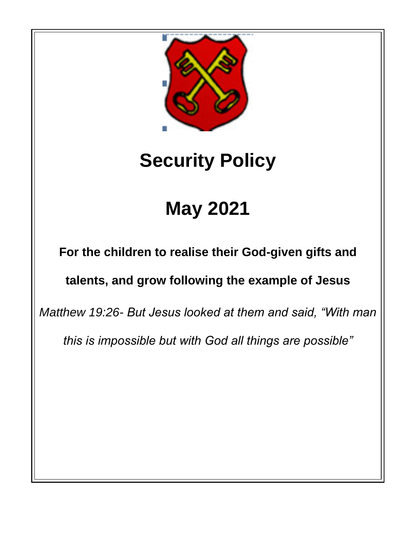

# **Security Policy**

# **May 2021**

**For the children to realise their God-given gifts and** 

# **talents, and grow following the example of Jesus**

*Matthew 19:26- But Jesus looked at them and said, "With man* 

*this is impossible but with God all things are possible"*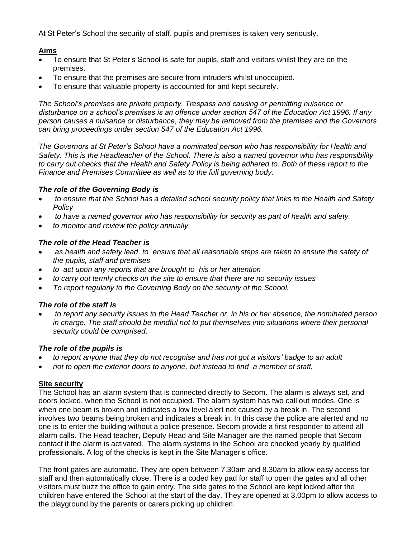At St Peter's School the security of staff, pupils and premises is taken very seriously.

# **Aims**

- To ensure that St Peter's School is safe for pupils, staff and visitors whilst they are on the premises.
- To ensure that the premises are secure from intruders whilst unoccupied.
- To ensure that valuable property is accounted for and kept securely.

*The School's premises are private property. Trespass and causing or permitting nuisance or disturbance on a school's premises is an offence under section 547 of the Education Act 1996. If any person causes a nuisance or disturbance, they may be removed from the premises and the Governors can bring proceedings under section 547 of the Education Act 1996.*

*The Governors at St Peter's School have a nominated person who has responsibility for Health and Safety. This is the Headteacher of the School. There is also a named governor who has responsibility to carry out checks that the Health and Safety Policy is being adhered to. Both of these report to the Finance and Premises Committee as well as to the full governing body.*

# *The role of the Governing Body is*

- *to ensure that the School has a detailed school security policy that links to the Health and Safety Policy*
- *to have a named governor who has responsibility for security as part of health and safety.*
- *to monitor and review the policy annually.*

# *The role of the Head Teacher is*

- *as health and safety lead, to ensure that all reasonable steps are taken to ensure the safety of the pupils, staff and premises*
- *to act upon any reports that are brought to his or her attention*
- *to carry out termly checks on the site to ensure that there are no security issues*
- *To report regularly to the Governing Body on the security of the School.*

### *The role of the staff is*

• *to report any security issues to the Head Teacher or, in his or her absence, the nominated person in charge. The staff should be mindful not to put themselves into situations where their personal security could be comprised.*

### *The role of the pupils is*

- *to report anyone that they do not recognise and has not got a visitors' badge to an adult*
- *not to open the exterior doors to anyone, but instead to find a member of staff.*

# **Site security**

The School has an alarm system that is connected directly to Secom. The alarm is always set, and doors locked, when the School is not occupied. The alarm system has two call out modes. One is when one beam is broken and indicates a low level alert not caused by a break in. The second involves two beams being broken and indicates a break in. In this case the police are alerted and no one is to enter the building without a police presence. Secom provide a first responder to attend all alarm calls. The Head teacher, Deputy Head and Site Manager are the named people that Secom contact if the alarm is activated. The alarm systems in the School are checked yearly by qualified professionals. A log of the checks is kept in the Site Manager's office.

The front gates are automatic. They are open between 7.30am and 8.30am to allow easy access for staff and then automatically close. There is a coded key pad for staff to open the gates and all other visitors must buzz the office to gain entry. The side gates to the School are kept locked after the children have entered the School at the start of the day. They are opened at 3.00pm to allow access to the playground by the parents or carers picking up children.